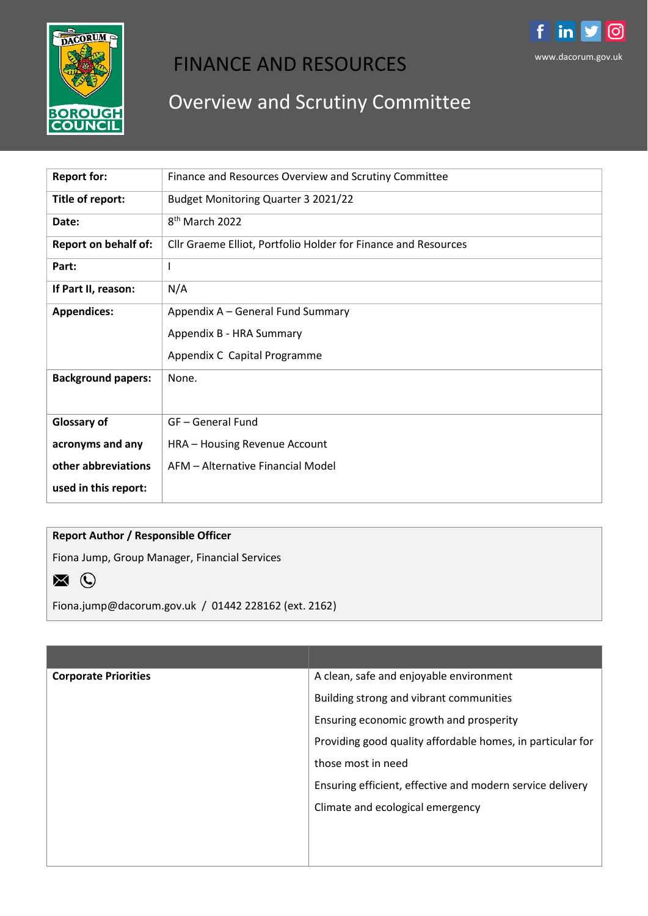

# FINANCE AND RESOURCES

# Overview and Scrutiny Committee

| <b>Report for:</b>          | Finance and Resources Overview and Scrutiny Committee          |
|-----------------------------|----------------------------------------------------------------|
| Title of report:            | Budget Monitoring Quarter 3 2021/22                            |
| Date:                       | 8 <sup>th</sup> March 2022                                     |
| <b>Report on behalf of:</b> | Cllr Graeme Elliot, Portfolio Holder for Finance and Resources |
| Part:                       | I.                                                             |
| If Part II, reason:         | N/A                                                            |
| <b>Appendices:</b>          | Appendix A - General Fund Summary                              |
|                             | Appendix B - HRA Summary                                       |
|                             | Appendix C Capital Programme                                   |
| <b>Background papers:</b>   | None.                                                          |
|                             |                                                                |
| <b>Glossary of</b>          | GF-General Fund                                                |
| acronyms and any            | HRA - Housing Revenue Account                                  |
| other abbreviations         | AFM - Alternative Financial Model                              |
| used in this report:        |                                                                |

# **Report Author / Responsible Officer**

Fiona Jump, Group Manager, Financial Services



Fiona.jump@dacorum.gov.uk / 01442 228162 (ext. 2162)

| <b>Corporate Priorities</b> | A clean, safe and enjoyable environment                    |
|-----------------------------|------------------------------------------------------------|
|                             | Building strong and vibrant communities                    |
|                             | Ensuring economic growth and prosperity                    |
|                             | Providing good quality affordable homes, in particular for |
|                             | those most in need                                         |
|                             | Ensuring efficient, effective and modern service delivery  |
|                             | Climate and ecological emergency                           |
|                             |                                                            |
|                             |                                                            |
|                             |                                                            |

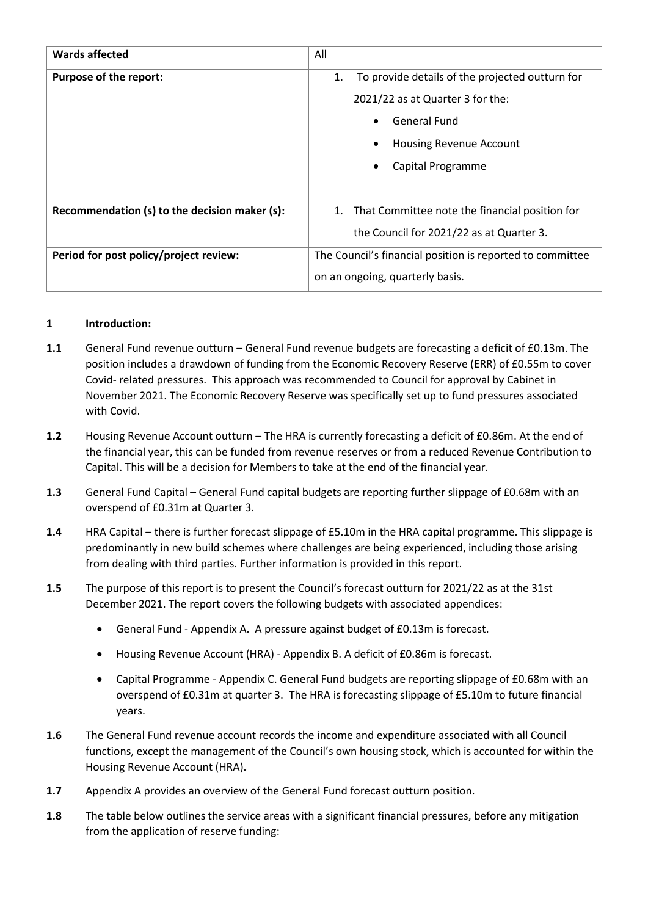| <b>Wards affected</b>                         | All                                                       |  |  |  |
|-----------------------------------------------|-----------------------------------------------------------|--|--|--|
| <b>Purpose of the report:</b>                 | To provide details of the projected outturn for<br>1.     |  |  |  |
|                                               | 2021/22 as at Quarter 3 for the:                          |  |  |  |
|                                               | <b>General Fund</b>                                       |  |  |  |
|                                               | <b>Housing Revenue Account</b>                            |  |  |  |
|                                               | Capital Programme                                         |  |  |  |
|                                               |                                                           |  |  |  |
| Recommendation (s) to the decision maker (s): | That Committee note the financial position for<br>1.      |  |  |  |
|                                               | the Council for 2021/22 as at Quarter 3.                  |  |  |  |
| Period for post policy/project review:        | The Council's financial position is reported to committee |  |  |  |
|                                               | on an ongoing, quarterly basis.                           |  |  |  |

# **1 Introduction:**

- **1.1** General Fund revenue outturn General Fund revenue budgets are forecasting a deficit of £0.13m. The position includes a drawdown of funding from the Economic Recovery Reserve (ERR) of £0.55m to cover Covid- related pressures. This approach was recommended to Council for approval by Cabinet in November 2021. The Economic Recovery Reserve was specifically set up to fund pressures associated with Covid.
- **1.2** Housing Revenue Account outturn The HRA is currently forecasting a deficit of £0.86m. At the end of the financial year, this can be funded from revenue reserves or from a reduced Revenue Contribution to Capital. This will be a decision for Members to take at the end of the financial year.
- **1.3** General Fund Capital General Fund capital budgets are reporting further slippage of £0.68m with an overspend of £0.31m at Quarter 3.
- **1.4** HRA Capital there is further forecast slippage of £5.10m in the HRA capital programme. This slippage is predominantly in new build schemes where challenges are being experienced, including those arising from dealing with third parties. Further information is provided in this report.
- **1.5** The purpose of this report is to present the Council's forecast outturn for 2021/22 as at the 31st December 2021. The report covers the following budgets with associated appendices:
	- General Fund Appendix A. A pressure against budget of £0.13m is forecast.
	- Housing Revenue Account (HRA) Appendix B. A deficit of £0.86m is forecast.
	- Capital Programme Appendix C. General Fund budgets are reporting slippage of £0.68m with an overspend of £0.31m at quarter 3. The HRA is forecasting slippage of £5.10m to future financial years.
- **1.6** The General Fund revenue account records the income and expenditure associated with all Council functions, except the management of the Council's own housing stock, which is accounted for within the Housing Revenue Account (HRA).
- **1.7** Appendix A provides an overview of the General Fund forecast outturn position.
- **1.8** The table below outlines the service areas with a significant financial pressures, before any mitigation from the application of reserve funding: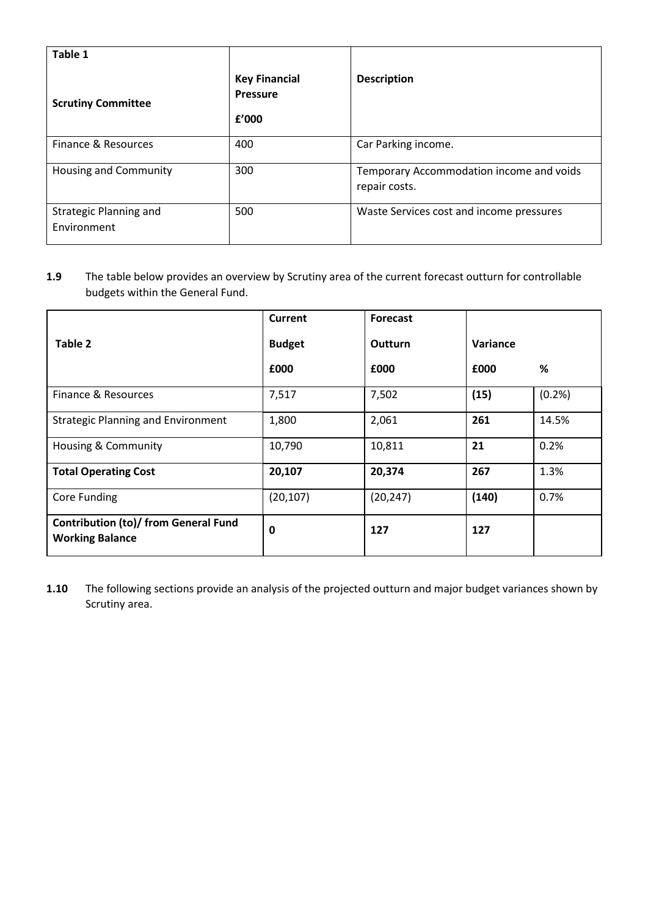| Table 1                                      |                                                  |                                                           |
|----------------------------------------------|--------------------------------------------------|-----------------------------------------------------------|
| <b>Scrutiny Committee</b>                    | <b>Key Financial</b><br><b>Pressure</b><br>£'000 | <b>Description</b>                                        |
| Finance & Resources                          | 400                                              | Car Parking income.                                       |
| <b>Housing and Community</b>                 | 300                                              | Temporary Accommodation income and voids<br>repair costs. |
| <b>Strategic Planning and</b><br>Environment | 500                                              | Waste Services cost and income pressures                  |

# **1.9** The table below provides an overview by Scrutiny area of the current forecast outturn for controllable budgets within the General Fund.

|                                                                       | <b>Current</b> | <b>Forecast</b> |          |        |
|-----------------------------------------------------------------------|----------------|-----------------|----------|--------|
| Table 2                                                               | <b>Budget</b>  | Outturn         | Variance |        |
|                                                                       | £000           | £000            | £000     | %      |
| Finance & Resources                                                   | 7,517          | 7,502           | (15)     | (0.2%) |
| <b>Strategic Planning and Environment</b>                             | 1,800          | 2,061           | 261      | 14.5%  |
| <b>Housing &amp; Community</b>                                        | 10,790         | 10,811          | 21       | 0.2%   |
| <b>Total Operating Cost</b>                                           | 20,107         | 20,374          | 267      | 1.3%   |
| <b>Core Funding</b>                                                   | (20, 107)      | (20, 247)       | (140)    | 0.7%   |
| <b>Contribution (to)/ from General Fund</b><br><b>Working Balance</b> | 0              | 127             | 127      |        |

**1.10** The following sections provide an analysis of the projected outturn and major budget variances shown by Scrutiny area.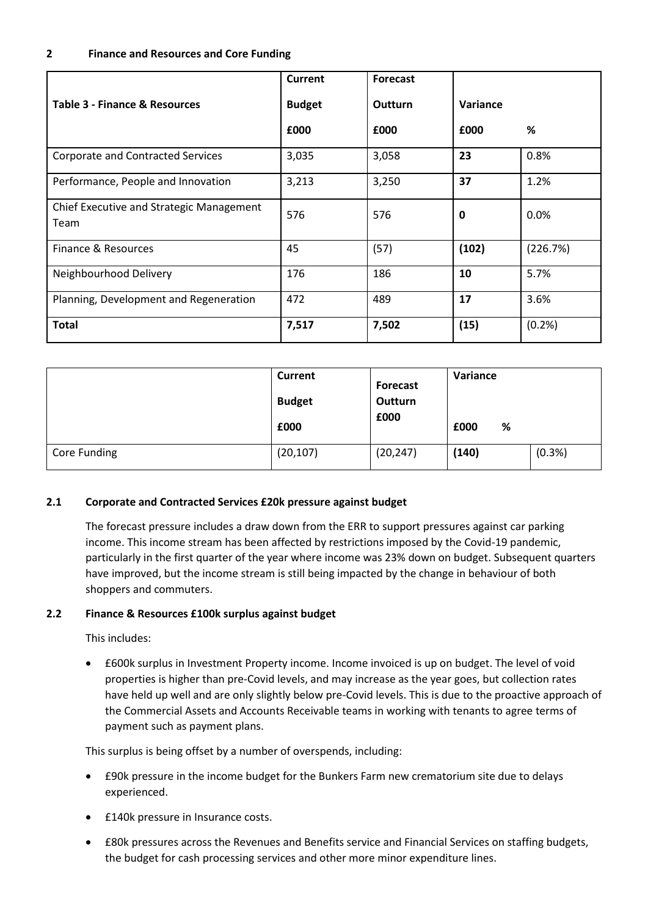#### **2 Finance and Resources and Core Funding**

|                                                  | <b>Current</b> | <b>Forecast</b> |             |          |
|--------------------------------------------------|----------------|-----------------|-------------|----------|
| Table 3 - Finance & Resources                    | <b>Budget</b>  | <b>Outturn</b>  | Variance    |          |
|                                                  | £000           | £000            | £000        | %        |
| <b>Corporate and Contracted Services</b>         | 3,035          | 3,058           | 23          | 0.8%     |
| Performance, People and Innovation               | 3,213          | 3,250           | 37          | 1.2%     |
| Chief Executive and Strategic Management<br>Team | 576            | 576             | $\mathbf 0$ | 0.0%     |
| Finance & Resources                              | 45             | (57)            | (102)       | (226.7%) |
| Neighbourhood Delivery                           | 176            | 186             | 10          | 5.7%     |
| Planning, Development and Regeneration           | 472            | 489             | 17          | 3.6%     |
| <b>Total</b>                                     | 7,517          | 7,502           | (15)        | (0.2%    |

|              | <b>Current</b><br><b>Budget</b><br>£000 | <b>Forecast</b><br>Outturn<br>£000 | Variance<br>£000<br>% |        |
|--------------|-----------------------------------------|------------------------------------|-----------------------|--------|
| Core Funding | (20, 107)                               | (20, 247)                          | (140)                 | (0.3%) |

#### **2.1 Corporate and Contracted Services £20k pressure against budget**

The forecast pressure includes a draw down from the ERR to support pressures against car parking income. This income stream has been affected by restrictions imposed by the Covid-19 pandemic, particularly in the first quarter of the year where income was 23% down on budget. Subsequent quarters have improved, but the income stream is still being impacted by the change in behaviour of both shoppers and commuters.

#### **2.2 Finance & Resources £100k surplus against budget**

This includes:

 £600k surplus in Investment Property income. Income invoiced is up on budget. The level of void properties is higher than pre-Covid levels, and may increase as the year goes, but collection rates have held up well and are only slightly below pre-Covid levels. This is due to the proactive approach of the Commercial Assets and Accounts Receivable teams in working with tenants to agree terms of payment such as payment plans.

This surplus is being offset by a number of overspends, including:

- £90k pressure in the income budget for the Bunkers Farm new crematorium site due to delays experienced.
- **£140k pressure in Insurance costs.**
- £80k pressures across the Revenues and Benefits service and Financial Services on staffing budgets, the budget for cash processing services and other more minor expenditure lines.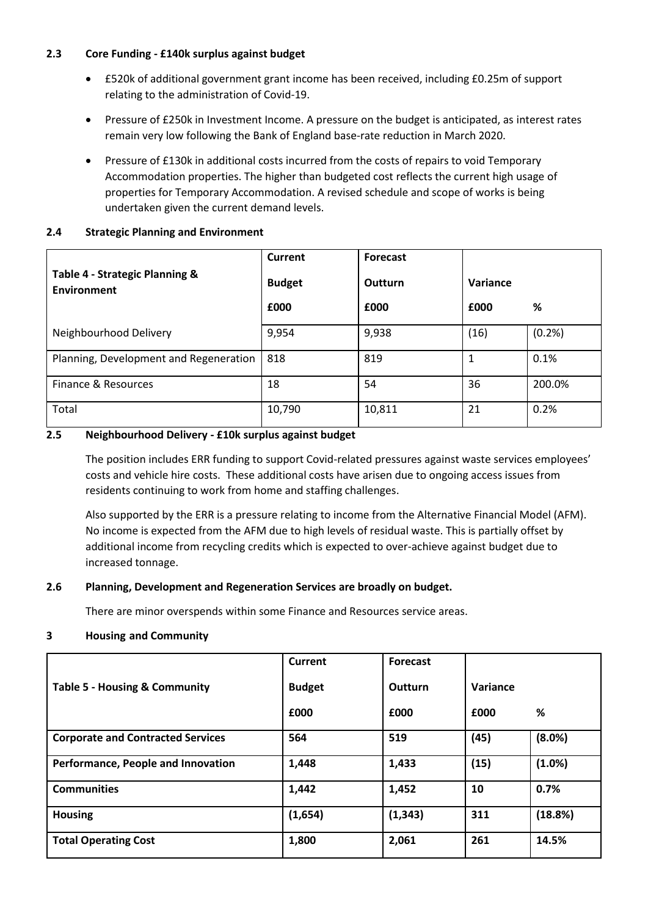# **2.3 Core Funding - £140k surplus against budget**

- £520k of additional government grant income has been received, including £0.25m of support relating to the administration of Covid-19.
- Pressure of £250k in Investment Income. A pressure on the budget is anticipated, as interest rates remain very low following the Bank of England base-rate reduction in March 2020.
- Pressure of £130k in additional costs incurred from the costs of repairs to void Temporary Accommodation properties. The higher than budgeted cost reflects the current high usage of properties for Temporary Accommodation. A revised schedule and scope of works is being undertaken given the current demand levels.

# **2.4 Strategic Planning and Environment**

| Table 4 - Strategic Planning &<br><b>Environment</b> | Current<br><b>Budget</b> | <b>Forecast</b><br>Outturn | Variance |        |
|------------------------------------------------------|--------------------------|----------------------------|----------|--------|
|                                                      | £000                     | £000                       | £000     | %      |
| Neighbourhood Delivery                               | 9,954                    | 9,938                      | (16)     | (0.2%  |
| Planning, Development and Regeneration               | 818                      | 819                        |          | 0.1%   |
| Finance & Resources                                  | 18                       | 54                         | 36       | 200.0% |
| Total                                                | 10,790                   | 10,811                     | 21       | 0.2%   |

# **2.5 Neighbourhood Delivery - £10k surplus against budget**

The position includes ERR funding to support Covid-related pressures against waste services employees' costs and vehicle hire costs. These additional costs have arisen due to ongoing access issues from residents continuing to work from home and staffing challenges.

Also supported by the ERR is a pressure relating to income from the Alternative Financial Model (AFM). No income is expected from the AFM due to high levels of residual waste. This is partially offset by additional income from recycling credits which is expected to over-achieve against budget due to increased tonnage.

# **2.6 Planning, Development and Regeneration Services are broadly on budget.**

There are minor overspends within some Finance and Resources service areas.

#### **3 Housing and Community**

|                                          | <b>Current</b> | <b>Forecast</b> |          |         |
|------------------------------------------|----------------|-----------------|----------|---------|
| <b>Table 5 - Housing &amp; Community</b> | <b>Budget</b>  | <b>Outturn</b>  | Variance |         |
|                                          | £000           | £000            | £000     | %       |
| <b>Corporate and Contracted Services</b> | 564            | 519             | (45)     | (8.0%)  |
| Performance, People and Innovation       | 1,448          | 1,433           | (15)     | (1.0%)  |
| <b>Communities</b>                       | 1,442          | 1,452           | 10       | 0.7%    |
| <b>Housing</b>                           | (1,654)        | (1, 343)        | 311      | (18.8%) |
| <b>Total Operating Cost</b>              | 1,800          | 2,061           | 261      | 14.5%   |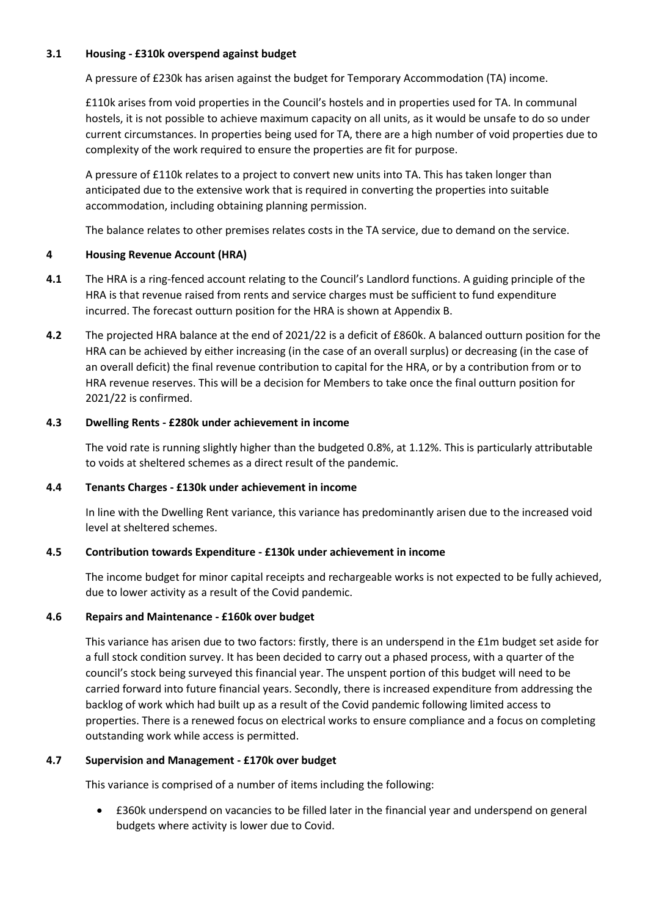## **3.1 Housing - £310k overspend against budget**

A pressure of £230k has arisen against the budget for Temporary Accommodation (TA) income.

£110k arises from void properties in the Council's hostels and in properties used for TA. In communal hostels, it is not possible to achieve maximum capacity on all units, as it would be unsafe to do so under current circumstances. In properties being used for TA, there are a high number of void properties due to complexity of the work required to ensure the properties are fit for purpose.

A pressure of £110k relates to a project to convert new units into TA. This has taken longer than anticipated due to the extensive work that is required in converting the properties into suitable accommodation, including obtaining planning permission.

The balance relates to other premises relates costs in the TA service, due to demand on the service.

## **4 Housing Revenue Account (HRA)**

- **4.1** The HRA is a ring-fenced account relating to the Council's Landlord functions. A guiding principle of the HRA is that revenue raised from rents and service charges must be sufficient to fund expenditure incurred. The forecast outturn position for the HRA is shown at Appendix B.
- **4.2** The projected HRA balance at the end of 2021/22 is a deficit of £860k. A balanced outturn position for the HRA can be achieved by either increasing (in the case of an overall surplus) or decreasing (in the case of an overall deficit) the final revenue contribution to capital for the HRA, or by a contribution from or to HRA revenue reserves. This will be a decision for Members to take once the final outturn position for 2021/22 is confirmed.

# **4.3 Dwelling Rents - £280k under achievement in income**

The void rate is running slightly higher than the budgeted 0.8%, at 1.12%. This is particularly attributable to voids at sheltered schemes as a direct result of the pandemic.

#### **4.4 Tenants Charges - £130k under achievement in income**

In line with the Dwelling Rent variance, this variance has predominantly arisen due to the increased void level at sheltered schemes.

# **4.5 Contribution towards Expenditure - £130k under achievement in income**

The income budget for minor capital receipts and rechargeable works is not expected to be fully achieved, due to lower activity as a result of the Covid pandemic.

#### **4.6 Repairs and Maintenance - £160k over budget**

This variance has arisen due to two factors: firstly, there is an underspend in the £1m budget set aside for a full stock condition survey. It has been decided to carry out a phased process, with a quarter of the council's stock being surveyed this financial year. The unspent portion of this budget will need to be carried forward into future financial years. Secondly, there is increased expenditure from addressing the backlog of work which had built up as a result of the Covid pandemic following limited access to properties. There is a renewed focus on electrical works to ensure compliance and a focus on completing outstanding work while access is permitted.

# **4.7 Supervision and Management - £170k over budget**

This variance is comprised of a number of items including the following:

 £360k underspend on vacancies to be filled later in the financial year and underspend on general budgets where activity is lower due to Covid.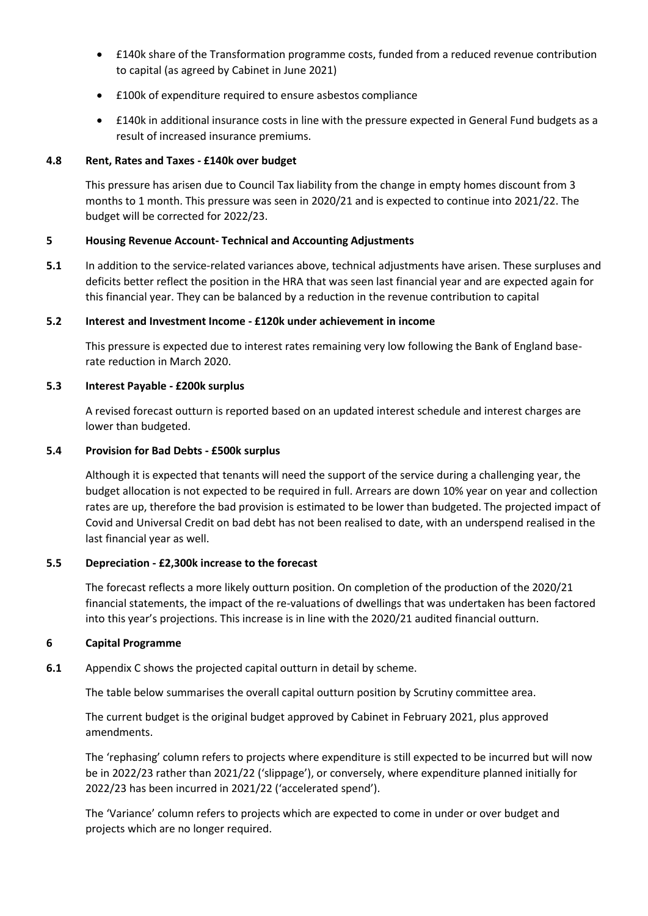- £140k share of the Transformation programme costs, funded from a reduced revenue contribution to capital (as agreed by Cabinet in June 2021)
- £100k of expenditure required to ensure asbestos compliance
- £140k in additional insurance costs in line with the pressure expected in General Fund budgets as a result of increased insurance premiums.

#### **4.8 Rent, Rates and Taxes - £140k over budget**

This pressure has arisen due to Council Tax liability from the change in empty homes discount from 3 months to 1 month. This pressure was seen in 2020/21 and is expected to continue into 2021/22. The budget will be corrected for 2022/23.

## **5 Housing Revenue Account- Technical and Accounting Adjustments**

**5.1** In addition to the service-related variances above, technical adjustments have arisen. These surpluses and deficits better reflect the position in the HRA that was seen last financial year and are expected again for this financial year. They can be balanced by a reduction in the revenue contribution to capital

#### **5.2 Interest and Investment Income - £120k under achievement in income**

This pressure is expected due to interest rates remaining very low following the Bank of England baserate reduction in March 2020.

## **5.3 Interest Payable - £200k surplus**

A revised forecast outturn is reported based on an updated interest schedule and interest charges are lower than budgeted.

#### **5.4 Provision for Bad Debts - £500k surplus**

Although it is expected that tenants will need the support of the service during a challenging year, the budget allocation is not expected to be required in full. Arrears are down 10% year on year and collection rates are up, therefore the bad provision is estimated to be lower than budgeted. The projected impact of Covid and Universal Credit on bad debt has not been realised to date, with an underspend realised in the last financial year as well.

#### **5.5 Depreciation - £2,300k increase to the forecast**

The forecast reflects a more likely outturn position. On completion of the production of the 2020/21 financial statements, the impact of the re-valuations of dwellings that was undertaken has been factored into this year's projections. This increase is in line with the 2020/21 audited financial outturn.

#### **6 Capital Programme**

**6.1** Appendix C shows the projected capital outturn in detail by scheme.

The table below summarises the overall capital outturn position by Scrutiny committee area.

The current budget is the original budget approved by Cabinet in February 2021, plus approved amendments.

The 'rephasing' column refers to projects where expenditure is still expected to be incurred but will now be in 2022/23 rather than 2021/22 ('slippage'), or conversely, where expenditure planned initially for 2022/23 has been incurred in 2021/22 ('accelerated spend').

The 'Variance' column refers to projects which are expected to come in under or over budget and projects which are no longer required.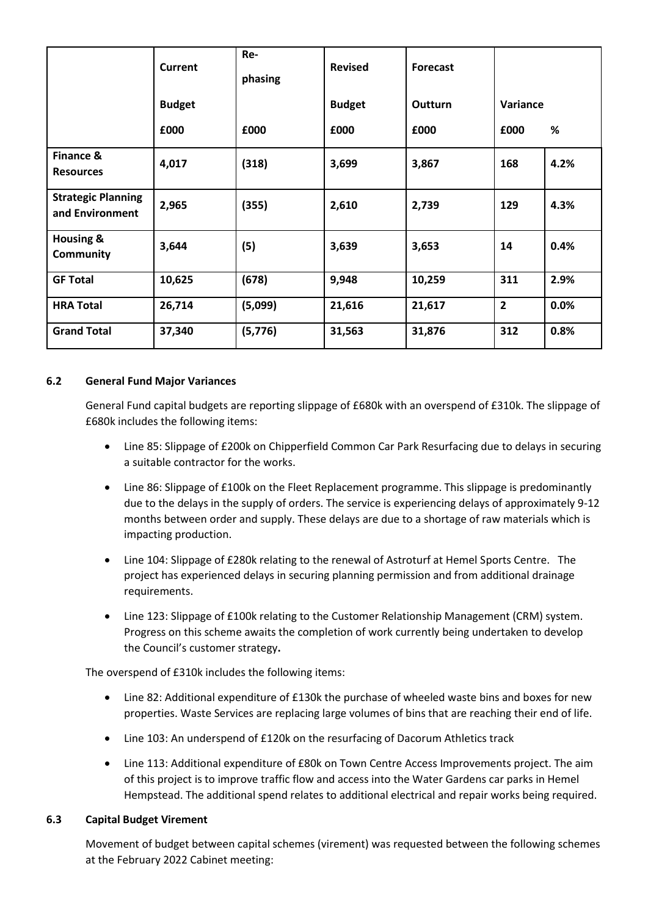|                                              | <b>Current</b> | Re-<br>phasing | <b>Revised</b> | <b>Forecast</b> |                |      |
|----------------------------------------------|----------------|----------------|----------------|-----------------|----------------|------|
|                                              | <b>Budget</b>  |                | <b>Budget</b>  | Outturn         | Variance       |      |
|                                              | £000           | £000           | £000           | £000            | £000           | %    |
| Finance &<br><b>Resources</b>                | 4,017          | (318)          | 3,699          | 3,867           | 168            | 4.2% |
| <b>Strategic Planning</b><br>and Environment | 2,965          | (355)          | 2,610          | 2,739           | 129            | 4.3% |
| <b>Housing &amp;</b><br><b>Community</b>     | 3,644          | (5)            | 3,639          | 3,653           | 14             | 0.4% |
| <b>GF Total</b>                              | 10,625         | (678)          | 9,948          | 10,259          | 311            | 2.9% |
| <b>HRA Total</b>                             | 26,714         | (5,099)        | 21,616         | 21,617          | $\overline{2}$ | 0.0% |
| <b>Grand Total</b>                           | 37,340         | (5,776)        | 31,563         | 31,876          | 312            | 0.8% |

#### **6.2 General Fund Major Variances**

General Fund capital budgets are reporting slippage of £680k with an overspend of £310k. The slippage of £680k includes the following items:

- Line 85: Slippage of £200k on Chipperfield Common Car Park Resurfacing due to delays in securing a suitable contractor for the works.
- Line 86: Slippage of £100k on the Fleet Replacement programme. This slippage is predominantly due to the delays in the supply of orders. The service is experiencing delays of approximately 9-12 months between order and supply. These delays are due to a shortage of raw materials which is impacting production.
- Line 104: Slippage of £280k relating to the renewal of Astroturf at Hemel Sports Centre. The project has experienced delays in securing planning permission and from additional drainage requirements.
- Line 123: Slippage of £100k relating to the Customer Relationship Management (CRM) system. Progress on this scheme awaits the completion of work currently being undertaken to develop the Council's customer strategy**.**

The overspend of £310k includes the following items:

- Line 82: Additional expenditure of £130k the purchase of wheeled waste bins and boxes for new properties. Waste Services are replacing large volumes of bins that are reaching their end of life.
- Line 103: An underspend of £120k on the resurfacing of Dacorum Athletics track
- Line 113: Additional expenditure of £80k on Town Centre Access Improvements project. The aim of this project is to improve traffic flow and access into the Water Gardens car parks in Hemel Hempstead. The additional spend relates to additional electrical and repair works being required.

#### **6.3 Capital Budget Virement**

Movement of budget between capital schemes (virement) was requested between the following schemes at the February 2022 Cabinet meeting: